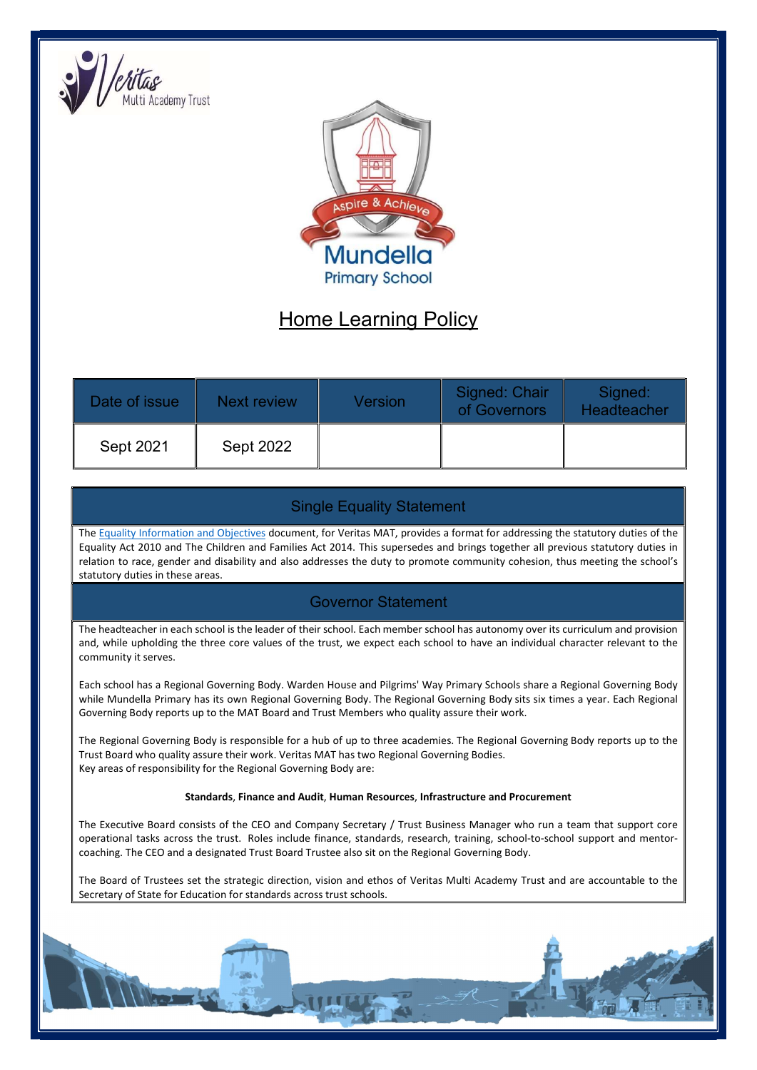



# Home Learning Policy

| Date of issue | Next review | Version | Signed: Chair<br>of Governors | Signed:<br>Headteacher |
|---------------|-------------|---------|-------------------------------|------------------------|
| Sept 2021     | Sept 2022   |         |                               |                        |

# Single Equality Statement

The Equality Information and Objectives document, for Veritas MAT, provides a format for addressing the statutory duties of the Equality Act 2010 and The Children and Families Act 2014. This supersedes and brings together all previous statutory duties in relation to race, gender and disability and also addresses the duty to promote community cohesion, thus meeting the school's statutory duties in these areas.

# Governor Statement

The headteacher in each school is the leader of their school. Each member school has autonomy over its curriculum and provision and, while upholding the three core values of the trust, we expect each school to have an individual character relevant to the community it serves.

Each school has a Regional Governing Body. Warden House and Pilgrims' Way Primary Schools share a Regional Governing Body while Mundella Primary has its own Regional Governing Body. The Regional Governing Body sits six times a year. Each Regional Governing Body reports up to the MAT Board and Trust Members who quality assure their work.

The Regional Governing Body is responsible for a hub of up to three academies. The Regional Governing Body reports up to the Trust Board who quality assure their work. Veritas MAT has two Regional Governing Bodies. Key areas of responsibility for the Regional Governing Body are:

#### Standards, Finance and Audit, Human Resources, Infrastructure and Procurement

The Executive Board consists of the CEO and Company Secretary / Trust Business Manager who run a team that support core operational tasks across the trust. Roles include finance, standards, research, training, school-to-school support and mentorcoaching. The CEO and a designated Trust Board Trustee also sit on the Regional Governing Body.

The Board of Trustees set the strategic direction, vision and ethos of Veritas Multi Academy Trust and are accountable to the Secretary of State for Education for standards across trust schools.

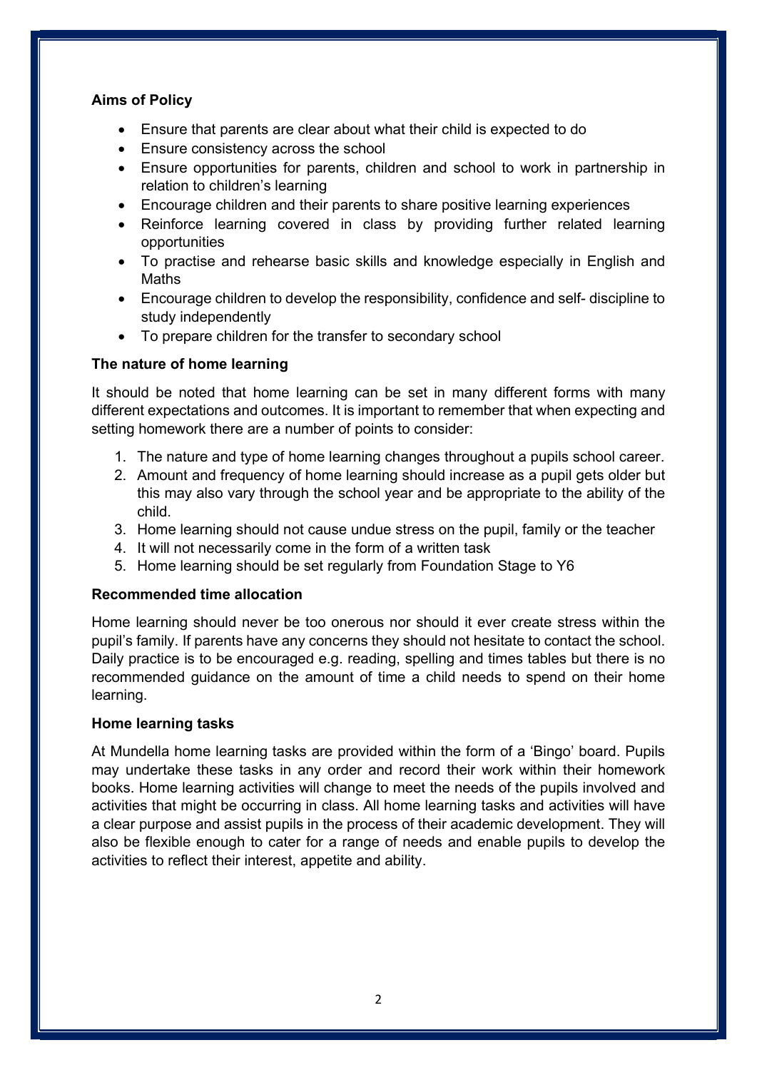# Aims of Policy

- Ensure that parents are clear about what their child is expected to do
- Ensure consistency across the school
- Ensure opportunities for parents, children and school to work in partnership in relation to children's learning
- Encourage children and their parents to share positive learning experiences
- Reinforce learning covered in class by providing further related learning opportunities
- To practise and rehearse basic skills and knowledge especially in English and Maths
- Encourage children to develop the responsibility, confidence and self- discipline to study independently
- To prepare children for the transfer to secondary school

## The nature of home learning

It should be noted that home learning can be set in many different forms with many different expectations and outcomes. It is important to remember that when expecting and setting homework there are a number of points to consider:

- 1. The nature and type of home learning changes throughout a pupils school career.
- 2. Amount and frequency of home learning should increase as a pupil gets older but this may also vary through the school year and be appropriate to the ability of the child.
- 3. Home learning should not cause undue stress on the pupil, family or the teacher
- 4. It will not necessarily come in the form of a written task
- 5. Home learning should be set regularly from Foundation Stage to Y6

#### Recommended time allocation

Home learning should never be too onerous nor should it ever create stress within the pupil's family. If parents have any concerns they should not hesitate to contact the school. Daily practice is to be encouraged e.g. reading, spelling and times tables but there is no recommended guidance on the amount of time a child needs to spend on their home learning.

#### Home learning tasks

At Mundella home learning tasks are provided within the form of a 'Bingo' board. Pupils may undertake these tasks in any order and record their work within their homework books. Home learning activities will change to meet the needs of the pupils involved and activities that might be occurring in class. All home learning tasks and activities will have a clear purpose and assist pupils in the process of their academic development. They will also be flexible enough to cater for a range of needs and enable pupils to develop the activities to reflect their interest, appetite and ability.